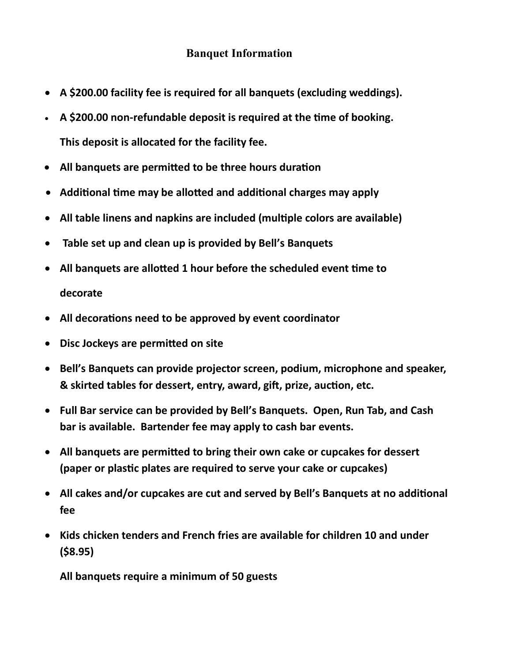## **Banquet Information**

- **A \$200.00 facility fee is required for all banquets (excluding weddings).**
- **A \$200.00 non-refundable deposit is required at the time of booking. This deposit is allocated for the facility fee.**
- **All banquets are permitted to be three hours duration**
- **Additional time may be allotted and additional charges may apply**
- **All table linens and napkins are included (multiple colors are available)**
- **Table set up and clean up is provided by Bell's Banquets**
- **All banquets are allotted 1 hour before the scheduled event time to decorate**
- **All decorations need to be approved by event coordinator**
- **Disc Jockeys are permitted on site**
- **Bell's Banquets can provide projector screen, podium, microphone and speaker, & skirted tables for dessert, entry, award, gift, prize, auction, etc.**
- **Full Bar service can be provided by Bell's Banquets. Open, Run Tab, and Cash bar is available. Bartender fee may apply to cash bar events.**
- **All banquets are permitted to bring their own cake or cupcakes for dessert (paper or plastic plates are required to serve your cake or cupcakes)**
- **All cakes and/or cupcakes are cut and served by Bell's Banquets at no additional fee**
- **Kids chicken tenders and French fries are available for children 10 and under (\$8.95)**

**All banquets require a minimum of 50 guests**